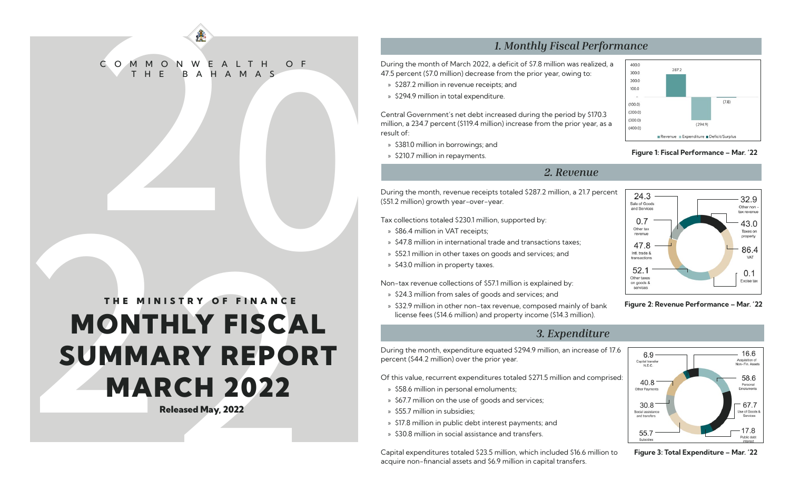# COMMONWEALTH OF C O M M O N W E A L T H O F B A H A M A S

## 3. Experimental to the subsection of the subsection of the subsection of the subsection of the subsection of the subsection of the subsection of the subsection of the subsection of the subsection of the subsection of the s MONTHLY FISCAL SUMMARY REPORT **MARCH 2022** THE MINISTRY OF FINANCE

Released May, 2022

### *1. Monthly Fiscal Performance*

During the month of March 2022, a deficit of \$7.8 million was realized, a 47.5 percent (\$7.0 million) decrease from the prior year, owing to:

- » \$287.2 million in revenue receipts; and
- » \$294.9 million in total expenditure.

Central Government's net debt increased during the period by \$170.3 million, a 234.7 percent (\$119.4 million) increase from the prior year, as a result of:

- » \$381.0 million in borrowings; and
- » \$210.7 million in repayments.

### *2. Revenue*

During the month, revenue receipts totaled \$287.2 million, a 21.7 percent (\$51.2 million) growth year-over-year.

Tax collections totaled \$230.1 million, supported by:

- » \$86.4 million in VAT receipts;
- » \$47.8 million in international trade and transactions taxes;
- » \$52.1 million in other taxes on goods and services; and
- » \$43.0 million in property taxes.

Non-tax revenue collections of \$57.1 million is explained by:

- » \$24.3 million from sales of goods and services; and
- » \$32.9 million in other non-tax revenue, composed mainly of bank license fees (\$14.6 million) and property income (\$14.3 million).



### Figure 1: Fiscal Performance – Mar. '22



Figure 2: Revenue Performance – Mar. '22

During the month, expenditure equated \$294.9 million, an increase of 17.6 percent (\$44.2 million) over the prior year.

Of this value, recurrent expenditures totaled \$271.5 million and comprised:

- » \$58.6 million in personal emoluments;
- » \$67.7 million on the use of goods and services;
- » \$55.7 million in subsidies;
- » \$17.8 million in public debt interest payments; and
- » \$30.8 million in social assistance and transfers.

Capital expenditures totaled \$23.5 million, which included \$16.6 million to acquire non-financial assets and \$6.9 million in capital transfers.



Figure 3: Total Expenditure – Mar. '22